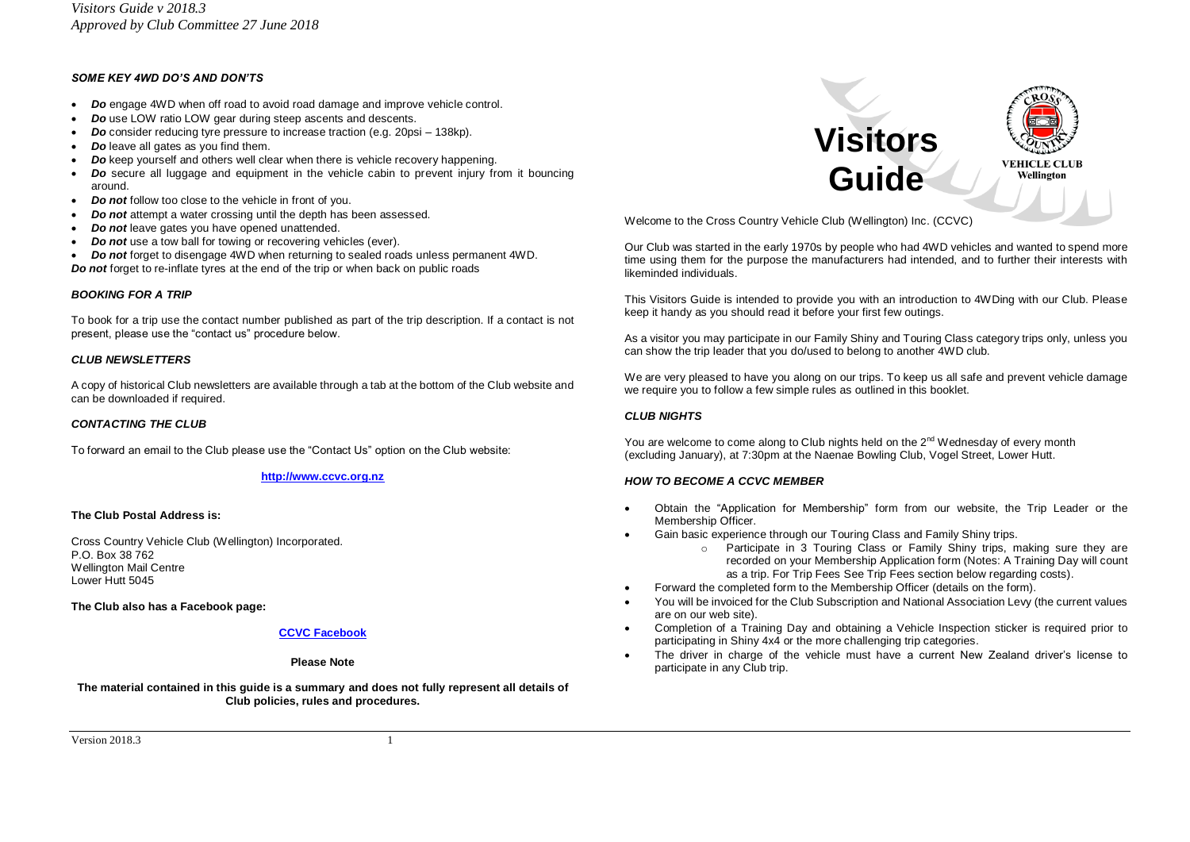# *SOME KEY 4WD DO'S AND DON'TS*

- *Do* engage 4WD when off road to avoid road damage and improve vehicle control.
- *Do* use LOW ratio LOW gear during steep ascents and descents.
- *Do* consider reducing tyre pressure to increase traction (e.g. 20psi 138kp).
- *Do* leave all gates as you find them.
- *Do* keep yourself and others well clear when there is vehicle recovery happening.
- *Do* secure all luggage and equipment in the vehicle cabin to prevent injury from it bouncing around.
- *Do not* follow too close to the vehicle in front of you.
- *Do not* attempt a water crossing until the depth has been assessed.
- *Do not* leave gates you have opened unattended.
- *Do not* use a tow ball for towing or recovering vehicles (ever).
- *Do not* forget to disengage 4WD when returning to sealed roads unless permanent 4WD. *Do not* forget to re-inflate tyres at the end of the trip or when back on public roads

#### *BOOKING FOR A TRIP*

To book for a trip use the contact number published as part of the trip description. If a contact is not present, please use the "contact us" procedure below.

#### *CLUB NEWSLETTERS*

A copy of historical Club newsletters are available through a tab at the bottom of the Club website and can be downloaded if required.

# *CONTACTING THE CLUB*

To forward an email to the Club please use the "Contact Us" option on the Club website:

# **[http://www.ccvc.org.nz](http://www.ccvc.org.nz/)**

# **The Club Postal Address is:**

Cross Country Vehicle Club (Wellington) Incorporated. P.O. Box 38 762 Wellington Mail Centre Lower Hutt 5045

**The Club also has a Facebook page:**

# **[CCVC Facebook](https://www.facebook.com/wellingtonccvc/)**

#### **Please Note**

**The material contained in this guide is a summary and does not fully represent all details of Club policies, rules and procedures.**



Welcome to the Cross Country Vehicle Club (Wellington) Inc. (CCVC)

Our Club was started in the early 1970s by people who had 4WD vehicles and wanted to spend more time using them for the purpose the manufacturers had intended, and to further their interests with likeminded individuals.

This Visitors Guide is intended to provide you with an introduction to 4WDing with our Club. Please keep it handy as you should read it before your first few outings.

As a visitor you may participate in our Family Shiny and Touring Class category trips only, unless you can show the trip leader that you do/used to belong to another 4WD club.

We are very pleased to have you along on our trips. To keep us all safe and prevent vehicle damage we require you to follow a few simple rules as outlined in this booklet.

# *CLUB NIGHTS*

You are welcome to come along to Club nights held on the  $2<sup>nd</sup>$  Wednesday of every month (excluding January), at 7:30pm at the Naenae Bowling Club, Vogel Street, Lower Hutt.

# *HOW TO BECOME A CCVC MEMBER*

- Obtain the "Application for Membership" form from our website, the Trip Leader or the Membership Officer.
- Gain basic experience through our Touring Class and Family Shiny trips.
	- o Participate in 3 Touring Class or Family Shiny trips, making sure they are recorded on your Membership Application form (Notes: A Training Day will count as a trip. For Trip Fees See Trip Fees section below regarding costs).
- Forward the completed form to the Membership Officer (details on the form).
- You will be invoiced for the Club Subscription and National Association Levy (the current values are on our web site).
- Completion of a Training Day and obtaining a Vehicle Inspection sticker is required prior to participating in Shiny 4x4 or the more challenging trip categories.
- The driver in charge of the vehicle must have a current New Zealand driver's license to participate in any Club trip.